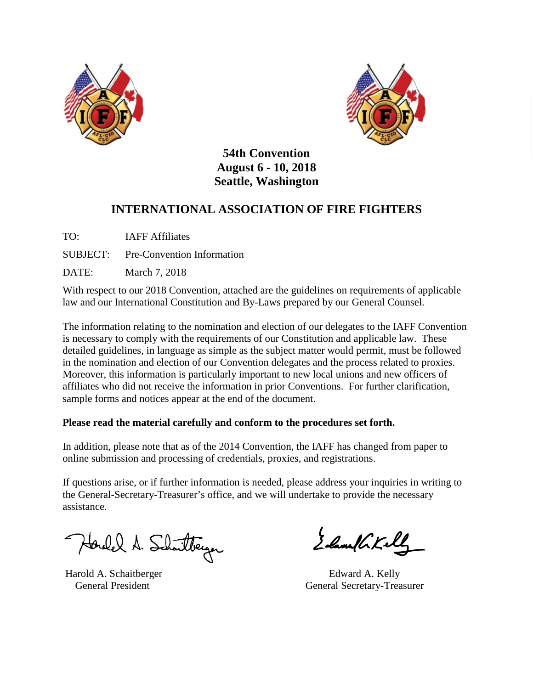



**54th Convention August 6 - 10, 2018 Seattle, Washington**

# **INTERNATIONAL ASSOCIATION OF FIRE FIGHTERS**

TO: IAFF Affiliates

SUBJECT: Pre-Convention Information

DATE: March 7, 2018

With respect to our 2018 Convention, attached are the guidelines on requirements of applicable law and our International Constitution and By-Laws prepared by our General Counsel.

The information relating to the nomination and election of our delegates to the IAFF Convention is necessary to comply with the requirements of our Constitution and applicable law. These detailed guidelines, in language as simple as the subject matter would permit, must be followed in the nomination and election of our Convention delegates and the process related to proxies. Moreover, this information is particularly important to new local unions and new officers of affiliates who did not receive the information in prior Conventions. For further clarification, sample forms and notices appear at the end of the document.

## **Please read the material carefully and conform to the procedures set forth.**

In addition, please note that as of the 2014 Convention, the IAFF has changed from paper to online submission and processing of credentials, proxies, and registrations.

If questions arise, or if further information is needed, please address your inquiries in writing to the General-Secretary-Treasurer's office, and we will undertake to provide the necessary assistance.

Harolel A. Schartberger

Harold A. Schaitberger

Edam/GKell

 Edward A. Kelly General President General Secretary-Treasurer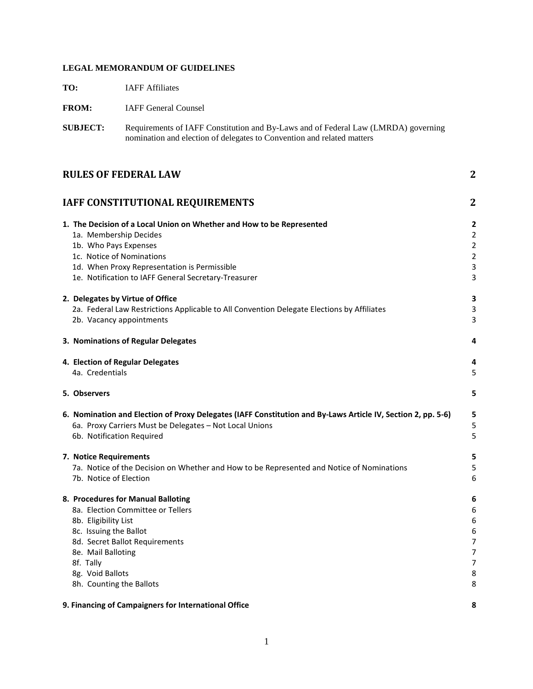## **LEGAL MEMORANDUM OF GUIDELINES**

**TO:** IAFF Affiliates

| <b>FROM:</b>                                                                                                                      | <b>IAFF General Counsel</b>                                                                                                                                                                                                                                                                                     |                                                                                                        |  |  |  |
|-----------------------------------------------------------------------------------------------------------------------------------|-----------------------------------------------------------------------------------------------------------------------------------------------------------------------------------------------------------------------------------------------------------------------------------------------------------------|--------------------------------------------------------------------------------------------------------|--|--|--|
| <b>SUBJECT:</b>                                                                                                                   | Requirements of IAFF Constitution and By-Laws and of Federal Law (LMRDA) governing<br>nomination and election of delegates to Convention and related matters                                                                                                                                                    |                                                                                                        |  |  |  |
| <b>RULES OF FEDERAL LAW</b><br>$\mathbf 2$                                                                                        |                                                                                                                                                                                                                                                                                                                 |                                                                                                        |  |  |  |
|                                                                                                                                   | <b>IAFF CONSTITUTIONAL REQUIREMENTS</b>                                                                                                                                                                                                                                                                         | $\overline{2}$                                                                                         |  |  |  |
| 1a. Membership Decides<br>1b. Who Pays Expenses<br>1c. Notice of Nominations                                                      | 1. The Decision of a Local Union on Whether and How to be Represented<br>1d. When Proxy Representation is Permissible<br>1e. Notification to IAFF General Secretary-Treasurer<br>2. Delegates by Virtue of Office<br>2a. Federal Law Restrictions Applicable to All Convention Delegate Elections by Affiliates | 2<br>$\overline{\mathbf{c}}$<br>$\overline{\mathbf{c}}$<br>$\overline{\mathbf{c}}$<br>3<br>3<br>3<br>3 |  |  |  |
| 2b. Vacancy appointments                                                                                                          |                                                                                                                                                                                                                                                                                                                 | 3                                                                                                      |  |  |  |
|                                                                                                                                   | 3. Nominations of Regular Delegates                                                                                                                                                                                                                                                                             | 4                                                                                                      |  |  |  |
| 4a. Credentials                                                                                                                   | 4. Election of Regular Delegates                                                                                                                                                                                                                                                                                | 4<br>5                                                                                                 |  |  |  |
| 5. Observers                                                                                                                      |                                                                                                                                                                                                                                                                                                                 | 5                                                                                                      |  |  |  |
| 6b. Notification Required                                                                                                         | 6. Nomination and Election of Proxy Delegates (IAFF Constitution and By-Laws Article IV, Section 2, pp. 5-6)<br>6a. Proxy Carriers Must be Delegates - Not Local Unions                                                                                                                                         | 5<br>5<br>5                                                                                            |  |  |  |
| 7. Notice Requirements<br>7b. Notice of Election                                                                                  | 7a. Notice of the Decision on Whether and How to be Represented and Notice of Nominations                                                                                                                                                                                                                       | 5<br>5<br>6                                                                                            |  |  |  |
| 8b. Eligibility List<br>8c. Issuing the Ballot<br>8e. Mail Balloting<br>8f. Tally<br>8g. Void Ballots<br>8h. Counting the Ballots | 8. Procedures for Manual Balloting<br>8a. Election Committee or Tellers<br>8d. Secret Ballot Requirements                                                                                                                                                                                                       | 6<br>6<br>6<br>6<br>7<br>7<br>7<br>8<br>8                                                              |  |  |  |
|                                                                                                                                   | 9. Financing of Campaigners for International Office                                                                                                                                                                                                                                                            | 8                                                                                                      |  |  |  |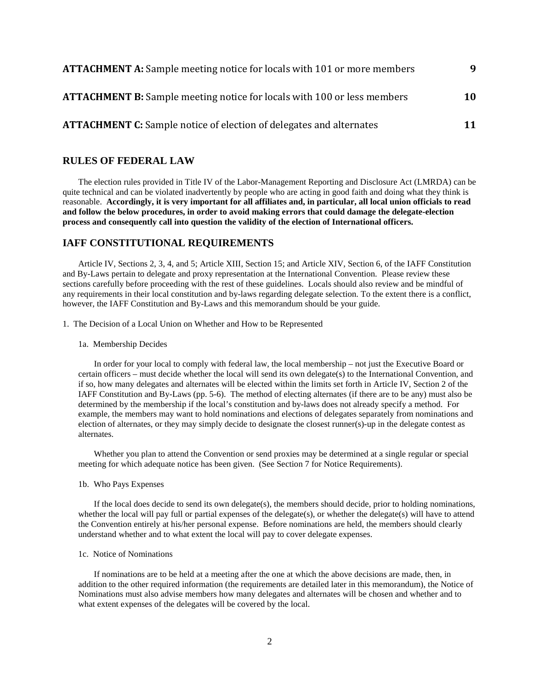| <b>ATTACHMENT A:</b> Sample meeting notice for locals with 101 or more members | 9  |
|--------------------------------------------------------------------------------|----|
| <b>ATTACHMENT B:</b> Sample meeting notice for locals with 100 or less members | 10 |
| <b>ATTACHMENT C:</b> Sample notice of election of delegates and alternates     | 11 |

## <span id="page-2-0"></span>**RULES OF FEDERAL LAW**

The election rules provided in Title IV of the Labor-Management Reporting and Disclosure Act (LMRDA) can be quite technical and can be violated inadvertently by people who are acting in good faith and doing what they think is reasonable. **Accordingly, it is very important for all affiliates and, in particular, all local union officials to read and follow the below procedures, in order to avoid making errors that could damage the delegate-election process and consequently call into question the validity of the election of International officers.**

## <span id="page-2-1"></span>**IAFF CONSTITUTIONAL REQUIREMENTS**

Article IV, Sections 2, 3, 4, and 5; Article XIII, Section 15; and Article XIV, Section 6, of the IAFF Constitution and By-Laws pertain to delegate and proxy representation at the International Convention. Please review these sections carefully before proceeding with the rest of these guidelines. Locals should also review and be mindful of any requirements in their local constitution and by-laws regarding delegate selection. To the extent there is a conflict, however, the IAFF Constitution and By-Laws and this memorandum should be your guide.

<span id="page-2-2"></span>1. The Decision of a Local Union on Whether and How to be Represented

<span id="page-2-3"></span>1a. Membership Decides

In order for your local to comply with federal law, the local membership – not just the Executive Board or certain officers – must decide whether the local will send its own delegate(s) to the International Convention, and if so, how many delegates and alternates will be elected within the limits set forth in Article IV, Section 2 of the IAFF Constitution and By-Laws (pp. 5-6). The method of electing alternates (if there are to be any) must also be determined by the membership if the local's constitution and by-laws does not already specify a method. For example, the members may want to hold nominations and elections of delegates separately from nominations and election of alternates, or they may simply decide to designate the closest runner(s)-up in the delegate contest as alternates.

Whether you plan to attend the Convention or send proxies may be determined at a single regular or special meeting for which adequate notice has been given. (See Section 7 for Notice Requirements).

<span id="page-2-4"></span>1b. Who Pays Expenses

If the local does decide to send its own delegate(s), the members should decide, prior to holding nominations, whether the local will pay full or partial expenses of the delegate(s), or whether the delegate(s) will have to attend the Convention entirely at his/her personal expense. Before nominations are held, the members should clearly understand whether and to what extent the local will pay to cover delegate expenses.

### <span id="page-2-5"></span>1c. Notice of Nominations

If nominations are to be held at a meeting after the one at which the above decisions are made, then, in addition to the other required information (the requirements are detailed later in this memorandum), the Notice of Nominations must also advise members how many delegates and alternates will be chosen and whether and to what extent expenses of the delegates will be covered by the local.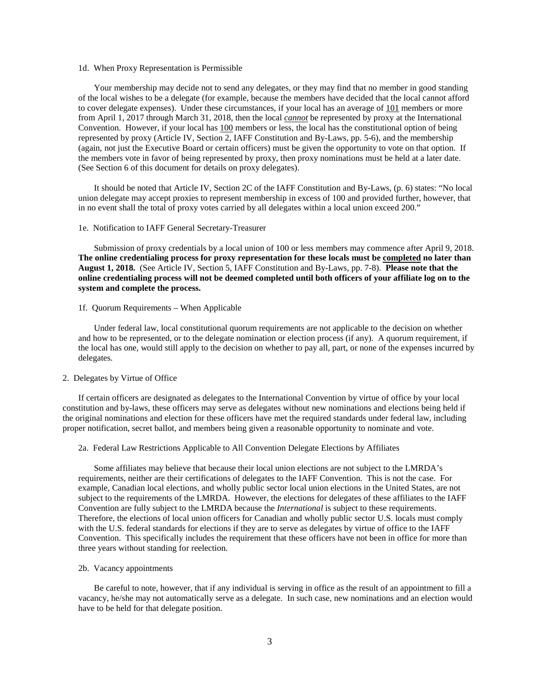#### <span id="page-3-0"></span>1d. When Proxy Representation is Permissible

Your membership may decide not to send any delegates, or they may find that no member in good standing of the local wishes to be a delegate (for example, because the members have decided that the local cannot afford to cover delegate expenses). Under these circumstances, if your local has an average of 101 members or more from April 1, 2017 through March 31, 2018, then the local *cannot* be represented by proxy at the International Convention. However, if your local has 100 members or less, the local has the constitutional option of being represented by proxy (Article IV, Section 2, IAFF Constitution and By-Laws, pp. 5-6), and the membership (again, not just the Executive Board or certain officers) must be given the opportunity to vote on that option. If the members vote in favor of being represented by proxy, then proxy nominations must be held at a later date. (See Section 6 of this document for details on proxy delegates).

It should be noted that Article IV, Section 2C of the IAFF Constitution and By-Laws, (p. 6) states: "No local union delegate may accept proxies to represent membership in excess of 100 and provided further, however, that in no event shall the total of proxy votes carried by all delegates within a local union exceed 200."

#### <span id="page-3-1"></span>1e. Notification to IAFF General Secretary-Treasurer

Submission of proxy credentials by a local union of 100 or less members may commence after April 9, 2018. **The online credentialing process for proxy representation for these locals must be completed no later than August 1, 2018.** (See Article IV, Section 5, IAFF Constitution and By-Laws, pp. 7-8). **Please note that the online credentialing process will not be deemed completed until both officers of your affiliate log on to the system and complete the process.** 

1f. Quorum Requirements – When Applicable

Under federal law, local constitutional quorum requirements are not applicable to the decision on whether and how to be represented, or to the delegate nomination or election process (if any). A quorum requirement, if the local has one, would still apply to the decision on whether to pay all, part, or none of the expenses incurred by delegates.

#### <span id="page-3-2"></span>2. Delegates by Virtue of Office

If certain officers are designated as delegates to the International Convention by virtue of office by your local constitution and by-laws, these officers may serve as delegates without new nominations and elections being held if the original nominations and election for these officers have met the required standards under federal law, including proper notification, secret ballot, and members being given a reasonable opportunity to nominate and vote.

#### <span id="page-3-3"></span>2a. Federal Law Restrictions Applicable to All Convention Delegate Elections by Affiliates

Some affiliates may believe that because their local union elections are not subject to the LMRDA's requirements, neither are their certifications of delegates to the IAFF Convention. This is not the case. For example, Canadian local elections, and wholly public sector local union elections in the United States, are not subject to the requirements of the LMRDA. However, the elections for delegates of these affiliates to the IAFF Convention are fully subject to the LMRDA because the *International* is subject to these requirements. Therefore, the elections of local union officers for Canadian and wholly public sector U.S. locals must comply with the U.S. federal standards for elections if they are to serve as delegates by virtue of office to the IAFF Convention. This specifically includes the requirement that these officers have not been in office for more than three years without standing for reelection.

<span id="page-3-4"></span>2b. Vacancy appointments

Be careful to note, however, that if any individual is serving in office as the result of an appointment to fill a vacancy, he/she may not automatically serve as a delegate. In such case, new nominations and an election would have to be held for that delegate position.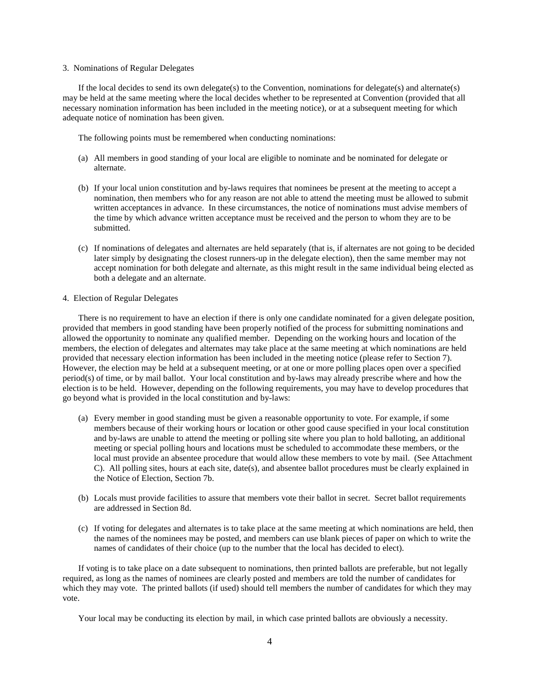#### <span id="page-4-0"></span>3. Nominations of Regular Delegates

If the local decides to send its own delegate(s) to the Convention, nominations for delegate(s) and alternate(s) may be held at the same meeting where the local decides whether to be represented at Convention (provided that all necessary nomination information has been included in the meeting notice), or at a subsequent meeting for which adequate notice of nomination has been given.

The following points must be remembered when conducting nominations:

- (a) All members in good standing of your local are eligible to nominate and be nominated for delegate or alternate.
- (b) If your local union constitution and by-laws requires that nominees be present at the meeting to accept a nomination, then members who for any reason are not able to attend the meeting must be allowed to submit written acceptances in advance. In these circumstances, the notice of nominations must advise members of the time by which advance written acceptance must be received and the person to whom they are to be submitted.
- (c) If nominations of delegates and alternates are held separately (that is, if alternates are not going to be decided later simply by designating the closest runners-up in the delegate election), then the same member may not accept nomination for both delegate and alternate, as this might result in the same individual being elected as both a delegate and an alternate.

#### <span id="page-4-1"></span>4. Election of Regular Delegates

There is no requirement to have an election if there is only one candidate nominated for a given delegate position, provided that members in good standing have been properly notified of the process for submitting nominations and allowed the opportunity to nominate any qualified member. Depending on the working hours and location of the members, the election of delegates and alternates may take place at the same meeting at which nominations are held provided that necessary election information has been included in the meeting notice (please refer to Section 7). However, the election may be held at a subsequent meeting, or at one or more polling places open over a specified period(s) of time, or by mail ballot. Your local constitution and by-laws may already prescribe where and how the election is to be held. However, depending on the following requirements, you may have to develop procedures that go beyond what is provided in the local constitution and by-laws:

- (a) Every member in good standing must be given a reasonable opportunity to vote. For example, if some members because of their working hours or location or other good cause specified in your local constitution and by-laws are unable to attend the meeting or polling site where you plan to hold balloting, an additional meeting or special polling hours and locations must be scheduled to accommodate these members, or the local must provide an absentee procedure that would allow these members to vote by mail. (See Attachment C). All polling sites, hours at each site, date(s), and absentee ballot procedures must be clearly explained in the Notice of Election, Section 7b.
- (b) Locals must provide facilities to assure that members vote their ballot in secret. Secret ballot requirements are addressed in Section 8d.
- (c) If voting for delegates and alternates is to take place at the same meeting at which nominations are held, then the names of the nominees may be posted, and members can use blank pieces of paper on which to write the names of candidates of their choice (up to the number that the local has decided to elect).

If voting is to take place on a date subsequent to nominations, then printed ballots are preferable, but not legally required, as long as the names of nominees are clearly posted and members are told the number of candidates for which they may vote. The printed ballots (if used) should tell members the number of candidates for which they may vote.

Your local may be conducting its election by mail, in which case printed ballots are obviously a necessity.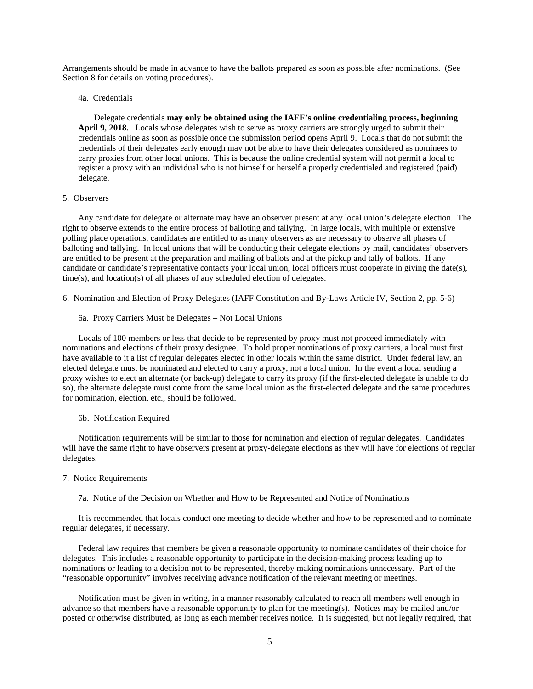Arrangements should be made in advance to have the ballots prepared as soon as possible after nominations. (See Section 8 for details on voting procedures).

<span id="page-5-0"></span>4a. Credentials

Delegate credentials **may only be obtained using the IAFF's online credentialing process, beginning April 9, 2018.** Locals whose delegates wish to serve as proxy carriers are strongly urged to submit their credentials online as soon as possible once the submission period opens April 9. Locals that do not submit the credentials of their delegates early enough may not be able to have their delegates considered as nominees to carry proxies from other local unions. This is because the online credential system will not permit a local to register a proxy with an individual who is not himself or herself a properly credentialed and registered (paid) delegate.

#### <span id="page-5-1"></span>5. Observers

Any candidate for delegate or alternate may have an observer present at any local union's delegate election. The right to observe extends to the entire process of balloting and tallying. In large locals, with multiple or extensive polling place operations, candidates are entitled to as many observers as are necessary to observe all phases of balloting and tallying. In local unions that will be conducting their delegate elections by mail, candidates' observers are entitled to be present at the preparation and mailing of ballots and at the pickup and tally of ballots. If any candidate or candidate's representative contacts your local union, local officers must cooperate in giving the date(s), time(s), and location(s) of all phases of any scheduled election of delegates.

<span id="page-5-2"></span>6. Nomination and Election of Proxy Delegates (IAFF Constitution and By-Laws Article IV, Section 2, pp. 5-6)

<span id="page-5-3"></span>6a. Proxy Carriers Must be Delegates – Not Local Unions

Locals of 100 members or less that decide to be represented by proxy must not proceed immediately with nominations and elections of their proxy designee. To hold proper nominations of proxy carriers, a local must first have available to it a list of regular delegates elected in other locals within the same district. Under federal law, an elected delegate must be nominated and elected to carry a proxy, not a local union. In the event a local sending a proxy wishes to elect an alternate (or back-up) delegate to carry its proxy (if the first-elected delegate is unable to do so), the alternate delegate must come from the same local union as the first-elected delegate and the same procedures for nomination, election, etc., should be followed.

<span id="page-5-4"></span>6b. Notification Required

Notification requirements will be similar to those for nomination and election of regular delegates. Candidates will have the same right to have observers present at proxy-delegate elections as they will have for elections of regular delegates.

### <span id="page-5-5"></span>7. Notice Requirements

<span id="page-5-6"></span>7a. Notice of the Decision on Whether and How to be Represented and Notice of Nominations

It is recommended that locals conduct one meeting to decide whether and how to be represented and to nominate regular delegates, if necessary.

Federal law requires that members be given a reasonable opportunity to nominate candidates of their choice for delegates. This includes a reasonable opportunity to participate in the decision-making process leading up to nominations or leading to a decision not to be represented, thereby making nominations unnecessary. Part of the "reasonable opportunity" involves receiving advance notification of the relevant meeting or meetings.

Notification must be given in writing, in a manner reasonably calculated to reach all members well enough in advance so that members have a reasonable opportunity to plan for the meeting(s). Notices may be mailed and/or posted or otherwise distributed, as long as each member receives notice. It is suggested, but not legally required, that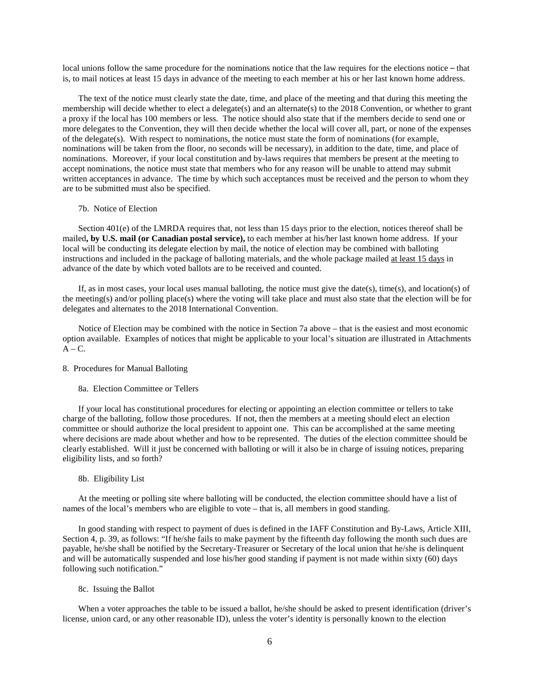local unions follow the same procedure for the nominations notice that the law requires for the elections notice – that is, to mail notices at least 15 days in advance of the meeting to each member at his or her last known home address.

The text of the notice must clearly state the date, time, and place of the meeting and that during this meeting the membership will decide whether to elect a delegate(s) and an alternate(s) to the 2018 Convention, or whether to grant a proxy if the local has 100 members or less. The notice should also state that if the members decide to send one or more delegates to the Convention, they will then decide whether the local will cover all, part, or none of the expenses of the delegate(s). With respect to nominations, the notice must state the form of nominations (for example, nominations will be taken from the floor, no seconds will be necessary), in addition to the date, time, and place of nominations. Moreover, if your local constitution and by-laws requires that members be present at the meeting to accept nominations, the notice must state that members who for any reason will be unable to attend may submit written acceptances in advance. The time by which such acceptances must be received and the person to whom they are to be submitted must also be specified.

#### <span id="page-6-0"></span>7b. Notice of Election

Section 401(e) of the LMRDA requires that, not less than 15 days prior to the election, notices thereof shall be mailed**, by U.S. mail (or Canadian postal service),** to each member at his/her last known home address. If your local will be conducting its delegate election by mail, the notice of election may be combined with balloting instructions and included in the package of balloting materials, and the whole package mailed at least 15 days in advance of the date by which voted ballots are to be received and counted.

If, as in most cases, your local uses manual balloting, the notice must give the date(s), time(s), and location(s) of the meeting(s) and/or polling place(s) where the voting will take place and must also state that the election will be for delegates and alternates to the 2018 International Convention.

Notice of Election may be combined with the notice in Section 7a above – that is the easiest and most economic option available. Examples of notices that might be applicable to your local's situation are illustrated in Attachments  $A - C$ .

## <span id="page-6-1"></span>8. Procedures for Manual Balloting

<span id="page-6-2"></span>8a. Election Committee or Tellers

If your local has constitutional procedures for electing or appointing an election committee or tellers to take charge of the balloting, follow those procedures. If not, then the members at a meeting should elect an election committee or should authorize the local president to appoint one. This can be accomplished at the same meeting where decisions are made about whether and how to be represented. The duties of the election committee should be clearly established. Will it just be concerned with balloting or will it also be in charge of issuing notices, preparing eligibility lists, and so forth?

## <span id="page-6-3"></span>8b. Eligibility List

At the meeting or polling site where balloting will be conducted, the election committee should have a list of names of the local's members who are eligible to vote – that is, all members in good standing.

In good standing with respect to payment of dues is defined in the IAFF Constitution and By-Laws, Article XIII, Section 4, p. 39, as follows: "If he/she fails to make payment by the fifteenth day following the month such dues are payable, he/she shall be notified by the Secretary-Treasurer or Secretary of the local union that he/she is delinquent and will be automatically suspended and lose his/her good standing if payment is not made within sixty (60) days following such notification."

### <span id="page-6-4"></span>8c. Issuing the Ballot

When a voter approaches the table to be issued a ballot, he/she should be asked to present identification (driver's license, union card, or any other reasonable ID), unless the voter's identity is personally known to the election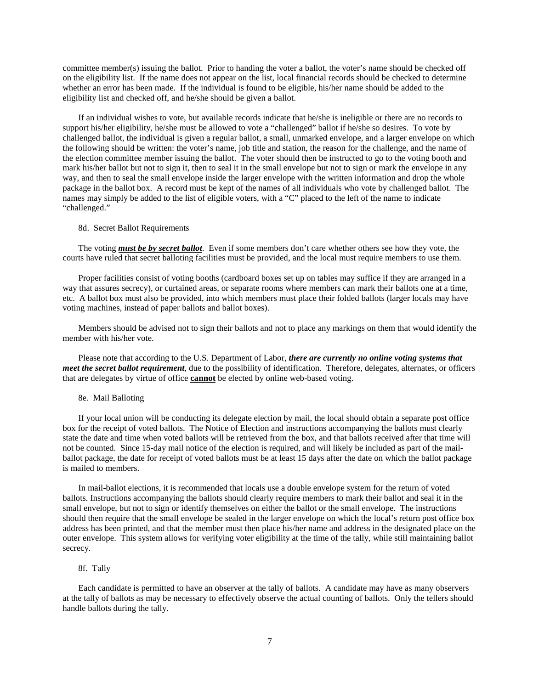committee member(s) issuing the ballot. Prior to handing the voter a ballot, the voter's name should be checked off on the eligibility list. If the name does not appear on the list, local financial records should be checked to determine whether an error has been made. If the individual is found to be eligible, his/her name should be added to the eligibility list and checked off, and he/she should be given a ballot.

If an individual wishes to vote, but available records indicate that he/she is ineligible or there are no records to support his/her eligibility, he/she must be allowed to vote a "challenged" ballot if he/she so desires. To vote by challenged ballot, the individual is given a regular ballot, a small, unmarked envelope, and a larger envelope on which the following should be written: the voter's name, job title and station, the reason for the challenge, and the name of the election committee member issuing the ballot. The voter should then be instructed to go to the voting booth and mark his/her ballot but not to sign it, then to seal it in the small envelope but not to sign or mark the envelope in any way, and then to seal the small envelope inside the larger envelope with the written information and drop the whole package in the ballot box. A record must be kept of the names of all individuals who vote by challenged ballot. The names may simply be added to the list of eligible voters, with a "C" placed to the left of the name to indicate "challenged."

<span id="page-7-0"></span>8d. Secret Ballot Requirements

The voting *must be by secret ballot*. Even if some members don't care whether others see how they vote, the courts have ruled that secret balloting facilities must be provided, and the local must require members to use them.

Proper facilities consist of voting booths (cardboard boxes set up on tables may suffice if they are arranged in a way that assures secrecy), or curtained areas, or separate rooms where members can mark their ballots one at a time, etc. A ballot box must also be provided, into which members must place their folded ballots (larger locals may have voting machines, instead of paper ballots and ballot boxes).

Members should be advised not to sign their ballots and not to place any markings on them that would identify the member with his/her vote.

Please note that according to the U.S. Department of Labor, *there are currently no online voting systems that meet the secret ballot requirement*, due to the possibility of identification. Therefore, delegates, alternates, or officers that are delegates by virtue of office **cannot** be elected by online web-based voting.

<span id="page-7-1"></span>8e. Mail Balloting

If your local union will be conducting its delegate election by mail, the local should obtain a separate post office box for the receipt of voted ballots. The Notice of Election and instructions accompanying the ballots must clearly state the date and time when voted ballots will be retrieved from the box, and that ballots received after that time will not be counted. Since 15-day mail notice of the election is required, and will likely be included as part of the mailballot package, the date for receipt of voted ballots must be at least 15 days after the date on which the ballot package is mailed to members.

In mail-ballot elections, it is recommended that locals use a double envelope system for the return of voted ballots. Instructions accompanying the ballots should clearly require members to mark their ballot and seal it in the small envelope, but not to sign or identify themselves on either the ballot or the small envelope. The instructions should then require that the small envelope be sealed in the larger envelope on which the local's return post office box address has been printed, and that the member must then place his/her name and address in the designated place on the outer envelope. This system allows for verifying voter eligibility at the time of the tally, while still maintaining ballot secrecy.

#### <span id="page-7-2"></span>8f. Tally

Each candidate is permitted to have an observer at the tally of ballots. A candidate may have as many observers at the tally of ballots as may be necessary to effectively observe the actual counting of ballots. Only the tellers should handle ballots during the tally.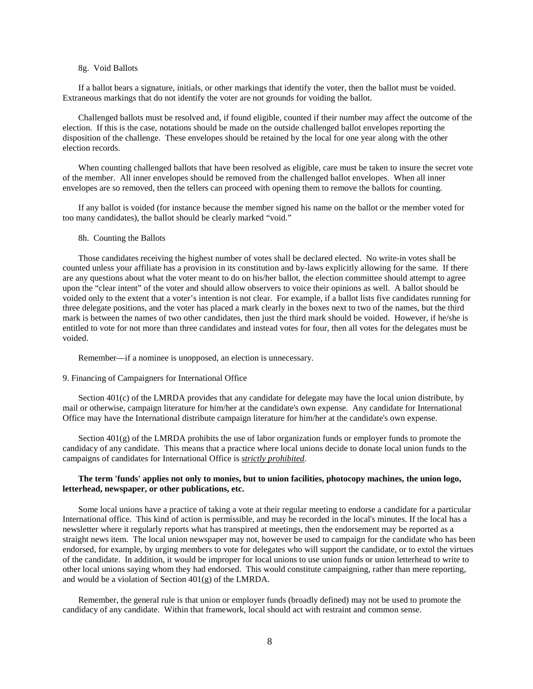#### <span id="page-8-0"></span>8g. Void Ballots

If a ballot bears a signature, initials, or other markings that identify the voter, then the ballot must be voided. Extraneous markings that do not identify the voter are not grounds for voiding the ballot.

Challenged ballots must be resolved and, if found eligible, counted if their number may affect the outcome of the election. If this is the case, notations should be made on the outside challenged ballot envelopes reporting the disposition of the challenge. These envelopes should be retained by the local for one year along with the other election records.

When counting challenged ballots that have been resolved as eligible, care must be taken to insure the secret vote of the member. All inner envelopes should be removed from the challenged ballot envelopes. When all inner envelopes are so removed, then the tellers can proceed with opening them to remove the ballots for counting.

If any ballot is voided (for instance because the member signed his name on the ballot or the member voted for too many candidates), the ballot should be clearly marked "void."

#### <span id="page-8-1"></span>8h. Counting the Ballots

Those candidates receiving the highest number of votes shall be declared elected. No write-in votes shall be counted unless your affiliate has a provision in its constitution and by-laws explicitly allowing for the same. If there are any questions about what the voter meant to do on his/her ballot, the election committee should attempt to agree upon the "clear intent" of the voter and should allow observers to voice their opinions as well. A ballot should be voided only to the extent that a voter's intention is not clear. For example, if a ballot lists five candidates running for three delegate positions, and the voter has placed a mark clearly in the boxes next to two of the names, but the third mark is between the names of two other candidates, then just the third mark should be voided. However, if he/she is entitled to vote for not more than three candidates and instead votes for four, then all votes for the delegates must be voided.

Remember—if a nominee is unopposed, an election is unnecessary.

#### <span id="page-8-2"></span>9. Financing of Campaigners for International Office

Section 401(c) of the LMRDA provides that any candidate for delegate may have the local union distribute, by mail or otherwise, campaign literature for him/her at the candidate's own expense. Any candidate for International Office may have the International distribute campaign literature for him/her at the candidate's own expense.

Section 401(g) of the LMRDA prohibits the use of labor organization funds or employer funds to promote the candidacy of any candidate. This means that a practice where local unions decide to donate local union funds to the campaigns of candidates for International Office is *strictly prohibited*.

## **The term 'funds' applies not only to monies, but to union facilities, photocopy machines, the union logo, letterhead, newspaper, or other publications, etc.**

Some local unions have a practice of taking a vote at their regular meeting to endorse a candidate for a particular International office. This kind of action is permissible, and may be recorded in the local's minutes. If the local has a newsletter where it regularly reports what has transpired at meetings, then the endorsement may be reported as a straight news item. The local union newspaper may not, however be used to campaign for the candidate who has been endorsed, for example, by urging members to vote for delegates who will support the candidate, or to extol the virtues of the candidate. In addition, it would be improper for local unions to use union funds or union letterhead to write to other local unions saying whom they had endorsed. This would constitute campaigning, rather than mere reporting, and would be a violation of Section 401(g) of the LMRDA.

Remember, the general rule is that union or employer funds (broadly defined) may not be used to promote the candidacy of any candidate. Within that framework, local should act with restraint and common sense.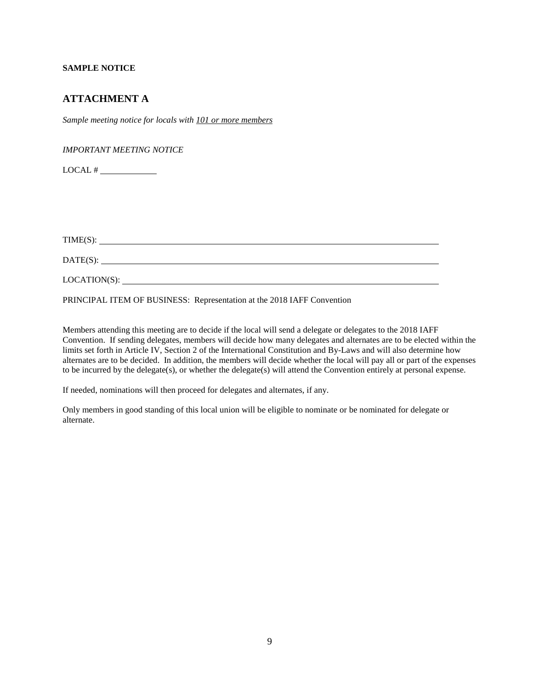## **SAMPLE NOTICE**

## <span id="page-9-0"></span>**ATTACHMENT A**

*Sample meeting notice for locals with 101 or more members*

*IMPORTANT MEETING NOTICE*

 $LOCAL$  #  $\_\_\_\_\_\_\_\_\_\_\_\_\_$ 

 $TIME(S):$ 

DATE(S):

LOCATION(S):

PRINCIPAL ITEM OF BUSINESS: Representation at the 2018 IAFF Convention

Members attending this meeting are to decide if the local will send a delegate or delegates to the 2018 IAFF Convention. If sending delegates, members will decide how many delegates and alternates are to be elected within the limits set forth in Article IV, Section 2 of the International Constitution and By-Laws and will also determine how alternates are to be decided. In addition, the members will decide whether the local will pay all or part of the expenses to be incurred by the delegate(s), or whether the delegate(s) will attend the Convention entirely at personal expense.

If needed, nominations will then proceed for delegates and alternates, if any.

Only members in good standing of this local union will be eligible to nominate or be nominated for delegate or alternate.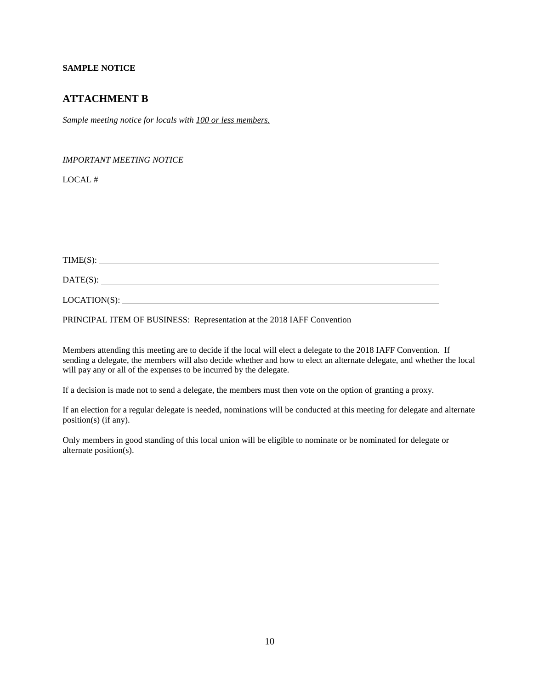## **SAMPLE NOTICE**

## <span id="page-10-0"></span>**ATTACHMENT B**

*Sample meeting notice for locals with 100 or less members.*

*IMPORTANT MEETING NOTICE*

 $LOCAL$  #  $\qquad$ 

TIME(S):

DATE(S):

LOCATION(S):

PRINCIPAL ITEM OF BUSINESS: Representation at the 2018 IAFF Convention

Members attending this meeting are to decide if the local will elect a delegate to the 2018 IAFF Convention. If sending a delegate, the members will also decide whether and how to elect an alternate delegate, and whether the local will pay any or all of the expenses to be incurred by the delegate.

If a decision is made not to send a delegate, the members must then vote on the option of granting a proxy.

If an election for a regular delegate is needed, nominations will be conducted at this meeting for delegate and alternate position(s) (if any).

Only members in good standing of this local union will be eligible to nominate or be nominated for delegate or alternate position(s).